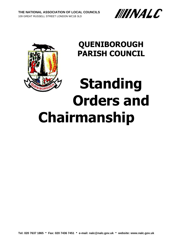



# **QUENIBOROUGH PARISH COUNCIL**

# **Standing Orders and Chairmanship**

**Tel: 020 7637 1865 Fax: 020 7436 7451 e-mail: [nalc@nalc.gov.uk](mailto:nalc@nalc.gov.uk) website: www.nalc.gov.uk**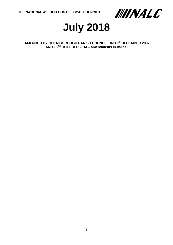



**(AMENDED BY QUENIBOROUGH PARISH COUNCIL ON 12th DECEMBER 2007 AND 15TH OCTOBER 2014 – amendments in italics)**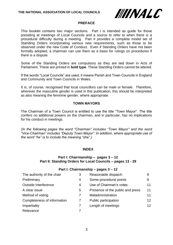

#### **PREFACE**

This booklet contains two major sections. Part I is intended as guide for those presiding at meetings of Local Councils and a source to refer to when there is a procedural difficulty during a meeting. Part II provides a complete model set of Standing Orders incorporating various new requirements, such as those to be observed under the new Code of Conduct. Even if Standing Orders have not been formally adopted, a chairman can use them as a basis for rulings on procedures if there is a dispute.

Some of the Standing Orders are compulsory as they are laid down in Acts of Parliament. These are printed in **bold type**. These Standing Orders cannot be altered.

If the words "Local Councils" are used, it means Parish and Town Councils in England and Community and Town Councils in Wales.

It is, of course, recognised that local councillors can be male or female. Therefore, wherever the masculine gender is used in this publication, this should be interpreted as also meaning the feminine gender, where appropriate.

# **TOWN MAYORS**

The Chairman of a Town Council is entitled to use the title "Town Mayor". The title confers no additional powers on the chairman, and in particular, has no implications for his conduct in meetings.

*(In the following pages the word "Chairman" includes "Town Mayor" and the word "Vice-Chairman" includes "Deputy Town Mayor". In addition, where appropriate use of the word "he" is to include the meaning "she".)*

# **INDEX**

# **Part I: Chairmanship – pages 3 – 12 Part II: Standing Orders for Local Councils – pages 13 - 29**

# **Part I: Chairmanship – pages 3 – 12**

| The authority of the chair  | 3 | Reasonable dispatch              | 9                 |
|-----------------------------|---|----------------------------------|-------------------|
| Preliminary                 | 4 | Some procedural points           | 9                 |
| Outside Interference        | 4 | Use of Chairman's votes          | 11                |
| A clear issue               | 5 | Presence of the public and press | 11                |
| Method of voting            |   | Maladministration                | 11                |
| Completeness of information |   | Public participation             | $12 \overline{ }$ |
| Impartiality                |   | Length of meetings               | 12                |
| Relevance                   |   |                                  |                   |
|                             |   |                                  |                   |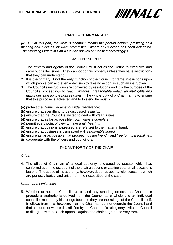

# **PART I – CHAIRMANSHIP**

*(NOTE: In this part, the word "Chairman" means the person actually presiding at a meeting and "Council" includes "committee," where any function has been delegated. The Standing Orders in Part II may be applied or modified accordingly.)*

# BASIC PRINCIPLES

- 1. The officers and agents of the Council must act as the Council's executive and carry out its decisions. They cannot do this properly unless they have instructions that they can understand.
- 2. It is the primary, if not the only, function of the Council to frame instructions upon which people can act; even a decision to take no action, is such an instruction.
- 3. The Council's instructions are conveyed by resolutions and it is the purpose of the Council's proceedings to *reach, without unreasonable delay, an intelligible and lawful decision for the right reasons.* The whole duty of a Chairman is to ensure that this purpose is achieved and to this end he must:-
- (a) protect the Council against *outside interference;*
- (b) ensure that everything to be discussed is *lawful;*
- (c) ensure that the Council is invited to deal with *clear issues;*
- (d) ensure that as far as possible *information is complete;*
- (e) permit every point of view to have a *fair hearing;*
- (f) ensure that opinions expressed are *relevant* to the matter in hand;
- (g) ensure that business is transacted with *reasonable speed;*
- (h) ensure as far as possible that proceedings are *friendly* and *free form personalities;*
- (i) co-operate with the officers and councillors.

# THE AUTHORITY OF THE CHAIR

#### *Origin*

4. The office of Chairman of a local authority is created by statute, which has conferred upon the occupant of the chair a second or casting vote on all occasions but one. The scope of his authority, however, depends upon ancient customs which are perfectly logical and arise from the necessities of the case.

#### *Nature and Limitations*

5. Whether or not the Council has passed any standing orders, the Chairman's procedural authority is derived from the Council as a whole and an individual councillor must obey his rulings because they are the rulings of the Council itself. It follows from this, however, that the Chairman cannot overrule the Council and that a councillor who is dissatisfied by the Chairman's ruling may invite the Council to disagree with it. Such appeals against the chair ought to be very rare.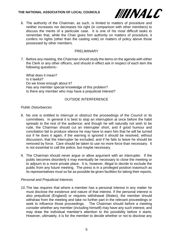

6. The authority of the Chairman, as such, is limited to matters of procedure and neither increases nor decreases his right (in comparison with other members) to discuss the merits of a particular case. It is one of his most difficult tasks to remember that, while the Chair gives him authority on matters of procedure, it confers no rights (other than the casting vote) on matters of policy above those possessed by other members.

# PRELIMINARY

7. Before any meeting, the Chairman should study the items on the agenda with either the Clerk or any other officers, and should in effect ask in respect of each item the following questions:-

What does it mean? Is it lawful? Do we know enough about it? Has any member special knowledge of this problem? Is there any member who may have a prejudicial interest?

# OUTSIDE INTERFERENCE

# *Public Disturbances*

- 8. No one is entitled to interrupt or obstruct the proceedings of the Council or its committees. In general it is best to stop an interruption at once before the habit spreads to the rest of the audience; and though he will naturally not wish to be rude, the Chairman should cut an interrupter short, and if good humour and conciliation fail to produce silence he may have to warn him that he will be turned out if he does it again; if the warning is ignored it should be resolved, without discussion, that the interrupter be excluded, and if he fails to leave he should be removed by force. Care should be taken to use no more force than necessary. It is not essential to call the police, but maybe necessary.
- 9. The Chairman should never argue or allow argument with an interrupter. If the public becomes disorderly it may eventually be necessary to close the meeting or to adjourn to a more private place. It is, however, illegal to decide to exclude the public from any future meeting. The press is in a privileged position inasmuch as its representatives must so far as possible be given facilities for taking their reports.

# *Personal and Prejudicial Interests*

10.The law requires that where a member has a personal interest in any matter he must disclose the existence and nature of that interest. If the personal interest is also prejudicial (England) or requires withdrawal (Wales), the member should withdraw from the meeting and take no further part in the relevant proceedings or seek to influence those proceedings. The Chairman should before a meeting consider whether any member (including himself) may have any such interest, and may draw the individual member's attention to the possibility before it starts. However, ultimately, it is for the member to decide whether or not to disclose any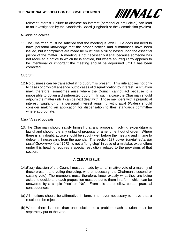

relevant interest. Failure to disclose an interest (personal or prejudicial) can lead to an investigation by the Standards Board (England) or the Commission (Wales).

# *Rulings on notices*

11.The Chairman must be satisfied that the meeting is lawful. He does not need to have personal knowledge that the proper notices and summonses have been issued, but if complaints are made he must give a ruling based upon the essential justice of the matter. A meeting is not necessarily illegal because someone has not received a notice to which he is entitled, but where an irregularity appears to be intentional or important the meeting should be adjourned until it has been corrected.

# *Quorum*

12.No business can be transacted if no quorum is present. This rule applies not only to cases of physical absence but to cases of disqualification by interest. A situation may, therefore, sometimes arise where the Council cannot act because it is impossible to obtain a disinterested quorum. In such a case the Chairman should adjourn the matter until it can be next dealt with. Those members with a prejudicial interest (England) or a personal interest requiring withdrawal (Wales) should consider making an application for dispensation to their standards committee where appropriate.

# *Ultra Vires Proposals*

13.The Chairman should satisfy himself that any proposal involving expenditure is lawful and should rule any unlawful proposal or amendment out of order. Where there is any doubt, advice should be sought well before the meeting and in time to delete it, if necessary, from the agenda. The section 137 power (*contained in the Local Government Act 1972)* is not a "long stop" in case of a mistake; expenditure under this heading requires a special resolution, related to the provisions of that section.

# A CLEAR ISSUE

- 14.*Every* decision of the Council must be made by an affirmative vote of a majority of those present and voting (including, where necessary, the Chairman's second or casting vote). The members must, therefore, know exactly what they are being asked to decide and each proposition must be put to them in a form which can be answered by a simple "Yes" or "No". From this there follow certain practical consequences:-
- (a) All motions should be affirmative in form; it is never necessary to move that a resolution be rejected;
- (b) Where there is more than one solution to a problem each solution must be separately put to the vote.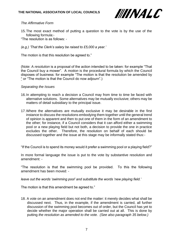

# *The Affirmative Form*

- 15.The most exact method of putting a question to the vote is by the use of the following formula:-
- "The resolution is as follows: -
- *(e.g.) 'That the Clerk's salary be raised to £5,000 a year.'*

The motion is that this resolution be agreed to."

(Note: A *resolution* is a proposal of the action intended to be taken: for example "That the Council buy a mower". A *motion* is the procedural formula by which the Council disposes of business: for example "The motion is that the resolution be amended by " or "The motion is that the Council do now adjourn".)

#### *Separating the Issues*

- 16.In attempting to reach a decision a Council may from time to time be faced with alternative solutions. Some alternatives may be mutually exclusive; others may be matters of detail subsidiary to the principal issue.
- 17.Where the alternatives are mutually exclusive it may be desirable in the first instance to discuss the resolutions embodying them together until the general trend of opinion is apparent and then to put one of them in the form of an amendment to the other; for instance, if a Council considers that it can afford either a swimming pool or a new playing field but not both, a decision to provide the one in practice excludes the other. Therefore, the resolution on behalf of each should be discussed together and the issue at this stage may be informally stated thus:-

"If the Council is to spend its money would it prefer a swimming pool or a playing field?"

In more formal language the issue is put to the vote by substantive resolution and amendment: -

"The resolution is that the swimming pool be provided. To this the following amendment has been moved: -

*leave out the words 'swimming pool' and substitute the words 'new playing field.'*

The motion is that this amendment be agreed to."

18. A vote on an amendment does not end the matter: it merely decides what shall be discussed next. Thus, in the example, if the amendment is carried, all further discussion of the swimming pool becomes out of order, but the Council has yet to decide whether the major operation shall be carried out at all. This is done by putting *the resolution as amended to the vote. (See also paragraph 35 below.)*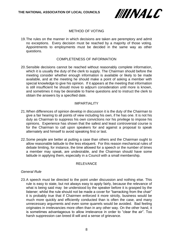

# METHOD OF VOTING

19.The rules on the manner in which decisions are taken are peremptory and admit no exceptions. Every decision must be reached by a majority of those voting. Appointments to employments must be decided in the same way as other questions.

# COMPLETENESS OF INFORMATION

20.Sensible decisions cannot be reached without reasonably complete information, which it is usually the duty of the clerk to supply. The Chairman should before the meeting consider whether enough information is available or likely to be made available, and at the meeting he should make a point of asking a member with special knowledge to give his opinion. If it appears at the meeting that information is still insufficient he should move to adjourn consideration until more is known, and sometimes it may be desirable to frame questions and to instruct the clerk to obtain the answers by a specified date.

# IMPARTIALITY

- 21.When differences of opinion develop in discussion it is the duty of the Chairman to give a fair hearing to all points of view including his own, if he has one. It is not his duty as Chairman to suppress his own convictions nor his privilege to impose his opinions. Experience has shown that the safest and least controversial course is for the Chairman to call upon speakers for and against a proposal to speak alternately and himself to avoid speaking first or last.
- 22.Some people are better at putting a case than others and the Chairman ought to allow reasonable latitude to the less eloquent. For this reason mechanical rules of debate limiting, for instance, the time allowed for a speech or the number of times a member may speak, are undesirable, and the Chairman should have some latitude in applying them, especially in a Council with a small membership.

#### RELEVANCE

#### *General Rule*

23.A speech must be directed to the point under discussion and nothing else. This rule is easy to state, but not always easy to apply fairly, because the relevance of what is being said may be understood by the speaker before it is grasped by the listener; whilst the rule should not be made a cover for "barracking from the chair" it is probably true that if Chairmen enforced it more strictly, business would be much more quickly and efficiently conducted than is often the case, and many unnecessary arguments and even some quarrels would be avoided. Bad feeling originates in irrelevancies more often than in any other way. On the other hand, it is sometimes advantageous to allow irrelevance in order to "clear the air". Too harsh suppression can breed ill will and a sense of grievance.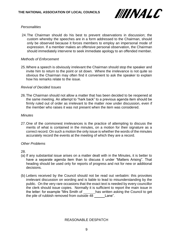

# *Personalities*

24.The Chairman should do his best to prevent observations in discussion; the custom whereby the speeches are in a form addressed to the Chairman, should only be observed because it forces members to employ an impersonal mode of expression. If a member makes an offensive personal observation, the Chairman should immediately intervene to seek immediate apology to an offended member.

#### *Methods of Enforcement*

25.Where a speech is obviously irrelevant the Chairman should stop the speaker and invite him to return to the point or sit down. Where the irrelevance is not quite so obvious the Chairman may often find it convenient to ask the speaker to explain how his remarks relate to the issue.

#### *Revival of Decided Issues*

26.The Chairman should not allow a matter that has been decided to be reopened at the same meeting. An attempt to "hark back" to a previous agenda item should be firmly ruled out of order as irrelevant to the matter *now* under discussion, even if the member who raises it was not present when the item was considered.

#### *Minutes*

27.One of the commonest irrelevances is the practice of attempting to discuss the merits of what is contained in the minutes, on a motion for their signature as a correct record. On such a motion the only issue is whether the words of the minutes accurately record the events at the meeting of which they are a record.

# *Other Problems*

28.

- (a) If any substantial issue arises on a matter dealt with in the Minutes, it is better to have a separate agenda item than to discuss it under "Matters Arising". That heading should be used only for reports of progress and not for new or additional decisions.
- (b) Letters received by the Council should not be read out verbatim: this provokes irrelevant discussion on wording and is liable to lead to misunderstanding by the public. On the very rare occasions that the exact text is needed by every councillor the clerk should issue copies. Normally it is sufficient to report the main issue in the letter: for example "Mrs Smith of has written asking the Council to get the pile of rubbish removed from outside 48 Lane".

# REASONABLE DESPATCH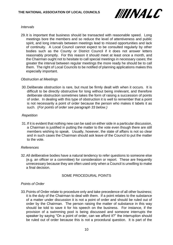

# *Intervals*

29.It is important that business should be transacted with reasonable speed. Long meetings bore the members and so reduce the level of attentiveness and public spirit, and long intervals between meetings lead to missed opportunities and lack of continuity. A Local Council cannot expect to be consulted regularly by other bodies such as the County or District Council if it does not answer letters reasonably promptly. For this reason it should meet at least once a month, and the Chairman ought not to hesitate to call special meetings in necessary cases; the greater the interval between regular meetings the more ready he should be to call them. The right of Local Councils to be notified of planning applications makes this especially important.

# *Obstruction at Meetings*

30.Deliberate obstruction is rare, but must be firmly dealt with when it occurs. It is difficult to be directly obstructive for long without being irrelevant, and therefore deliberate obstruction sometimes takes the form of raising a succession of points of order. In dealing with this type of obstruction it is well to remember that a point is not necessarily a point of order because the person who makes it labels it as such. (*For points of order see paragraph 33 below.)*

# *Repetition*

31.If it is evident that nothing new can be said on either side in a particular discussion, a Chairman is justified in putting the matter to the vote even though there are still members wishing to speak. Usually, however, the state of affairs is not so clear and in such cases the Chairman should ask leave of the Council to put the matter to the vote.

# *References*

32.All deliberative bodies have a natural tendency to refer questions to someone else (e.g. an officer or a committee) for consideration or report. These are frequently unnecessary because they are often used only when a Council is unwilling to make a final decision.

# SOME PROCEDURAL POINTS

# *Points of Order*

33.Points of Order relate to procedure only and take precedence of all other business; it is the duty of the Chairman to deal with them. If a point relates to the substance of a matter under discussion it is not a point of order and should be ruled out of order by the Chairman. The person raising the matter of substance in this way should be told to save it for his speech on the business. For instance, if the provision of a swimming pool is being discussed and someone interrupts the speaker by saying "On a point of order, can we afford it?" the interruption should be ruled out of order because this is not a procedural question. It is part of the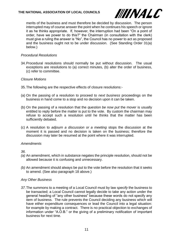

merits of the business and must therefore be decided by discussion. The person interrupted may of course answer the point when he continues his speech or ignore it as he thinks appropriate. If, however, the interruption had been "On a point of order, have we power to do this?" the Chairman (in consultation with the clerk) must give a ruling the answer is "No", the Council has no power to act as proposed and the business ought not to be under discussion. (See Standing Order 31(a) below.)

# *Procedural Resolutions*

34.Procedural resolutions should normally be put without discussion. The usual exceptions are resolutions to (a) correct minutes, (b) alter the order of business, (c) refer to committee.

# *Closure Motions*

- 35.The following are the respective effects of closure resolutions:-
- (a) On the passing of a resolution to proceed to *next business* proceedings on the business in hand come to a stop and no decision upon it can be taken.
- (b) On the passing of a resolution that the *question be now put* the mover is usually entitled to reply before the matter is put to the vote. By custom the chairman may refuse to accept such a resolution until he thinks that the matter has been sufficiently debated.
- (c) A resolution to *adjourn a discussion or a meeting* stops the discussion at the moment it is passed and no decision is taken on the business; therefore the discussion may later be resumed at the point where it was interrupted.

# *Amendments*

*36.*

- *(a)* An amendment, which in substance negates the principle resolution, should not be allowed because it is confusing and unnecessary.
- *(b)* An amendment should always be put to the vote before the resolution that it seeks to amend. (See also paragraph 18 above.)

# *Any Other Business*

*37.*The summons to a meeting of a Local Council must by law *specify* the business to be transacted; a Local Council cannot legally decide to take any action under the general heading of "any other business" because these words do not specify any item of business. The rule prevents the Council deciding any business which will have either expenditure consequences or lead the Council into a legal situation: for example by making a contract. There is no practical objection to exchanges of information under "A.O.B." or the giving of a preliminary notification of important business for next time.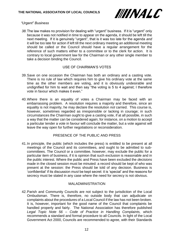

# *"Urgent" Business*

*38.*The law makes no provision for dealing with "urgent" business. If it is "urgent" only because it was not notified in time to appear on the agenda, it should be left till the next meeting. If it is genuinely "urgent", that is it was too late for the agenda *and*  it will be too late for action if left till the next ordinary meeting an additional meeting should be called *or* the Council should have a regular arrangement for the reference of such matters either to a committee or to the clerk for action. It is contrary to local government law for the Chairman or any other single member to take a decision binding the Council.

# USE OF CHAIRMAN'S VOTES

- 39.Save on one occasion the Chairman has both an ordinary and a casting vote. There is no rule of law which requires him to give his ordinary vote at the same time as the other members are voting, and it is obviously undesirable and undignified for him to wait and then say "the voting is 5 to 4 against; I therefore vote in favour which makes it even."
- 40.Where there is an equality of votes a Chairman may be faced with an embarrassing problem. A resolution requires a majority and therefore, since an equality is not majority, he may declare the resolution *not* carried. This course is, however, sometimes regarded as irresponsible or lacking in courage; in such circumstances the Chairman ought to give a casting vote, if at all possible, in such a way that the matter can be considered again; for instance, on a motion to accept a particular tender a vote in favour will conclude the matter, but a vote against will leave the way open for further negotiations or reconsideration.

# PRESENCE OF THE PUBLIC AND PRESS

41.In principle, the public (which includes the press) is entitled to be present at all meetings of the Council and its committees, and ought to be admitted to subcommittees. The Council or a committee, however, may exclude the public for a particular item of business, if it is opinion that such exclusion is reasonable and in the public interest. Where the public and Press have been excluded the *decisions* made in the closed session must be minuted: a record should be kept of who was present at the session: the Press should be told of any decision. Business is 'confidential' if its discussion *must* be kept secret: it is 'special' and the reasons for secrecy must be stated in any case where the need for secrecy is not obvious.

# MALADMINISTRATION

42.Parish and Community Councils are not subject to the jurisdiction of the Local Ombudsman. There is, therefore, no outside body that can adjudicate on complaints about the procedures of a Local Council if the law has not been broken. It is, however, important for the good name of the Council that complaints be handled properly and fairly. The National Association has therefore published *Legal Topic Note 56 – Code of Practice in Handling Complaints,* which recommends a standard and formal procedure to all Councils. In light of the Local Government Act 2000, Councils are recommended to agree, with their Standards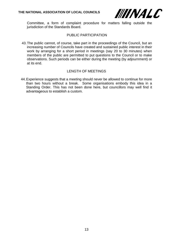

Committee, a form of complaint procedure for matters falling outside the jurisdiction of the Standards Board.

# PUBLIC PARTICIPATION

43.The public cannot, of course, take part in the proceedings of the Council, but an increasing number of Councils have created and sustained public interest in their work by arranging for a short period in meetings (say 20 to 30 minutes) when members of the public are permitted to put questions to the Council or to make observations. Such periods can be either during the meeting (by adjournment) or at its end.

# LENGTH OF MEETINGS

44.Experience suggests that a meeting should never be allowed to continue for more than two hours without a break. Some organisations embody this idea in a Standing Order. This has not been done here, but councillors may well find it advantageous to establish a custom.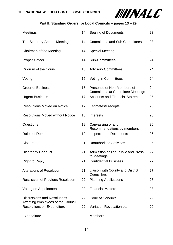

# **Part II: Standing Orders for Local Councils – pages 13 – 29**

| Meetings                                                                | 14 | <b>Sealing of Documents</b>                                                        | 23 |
|-------------------------------------------------------------------------|----|------------------------------------------------------------------------------------|----|
| The Statutory Annual Meeting                                            | 14 | <b>Committees and Sub Committees</b>                                               | 23 |
| Chairman of the Meeting                                                 | 14 | <b>Special Meeting</b>                                                             | 23 |
| <b>Proper Officer</b>                                                   | 14 | <b>Sub-Committees</b>                                                              | 24 |
| Quorum of the Council                                                   | 15 | <b>Advisory Committees</b>                                                         | 24 |
| Voting                                                                  | 15 | <b>Voting in Committees</b>                                                        | 24 |
| <b>Order of Business</b>                                                | 15 | Presence of Non-Members of                                                         | 24 |
| <b>Urgent Business</b>                                                  | 17 | <b>Committees at Committee Meetings</b><br><b>Accounts and Financial Statement</b> | 25 |
| <b>Resolutions Moved on Notice</b>                                      | 17 | <b>Estimates/Precepts</b>                                                          | 25 |
| <b>Resolutions Moved without Notice</b>                                 | 18 | Interests                                                                          | 25 |
| Questions                                                               | 18 | Canvassing of and                                                                  | 26 |
| <b>Rules of Debate</b>                                                  | 19 | Recommendations by members<br><b>Inspection of Documents</b>                       | 26 |
| Closure                                                                 | 21 | <b>Unauthorised Activities</b>                                                     | 26 |
| <b>Disorderly Conduct</b>                                               | 21 | Admission of The Public and Press<br>to Meetings                                   | 27 |
| <b>Right to Reply</b>                                                   | 21 | <b>Confidential Business</b>                                                       | 27 |
| <b>Alterations of Resolution</b>                                        | 21 | Liaison with County and District<br>Councillors                                    | 27 |
| <b>Rescission of Previous Resolution</b>                                | 22 | <b>Planning Applications</b>                                                       | 28 |
| <b>Voting on Appointments</b>                                           | 22 | <b>Financial Matters</b>                                                           | 28 |
| <b>Discussions and Resolutions</b>                                      | 22 | <b>Code of Conduct</b>                                                             | 29 |
| Affecting employees of the Council<br><b>Resolutions on Expenditure</b> | 22 | Variation Revocation etc                                                           | 29 |
| Expenditure                                                             | 22 | <b>Members</b>                                                                     | 29 |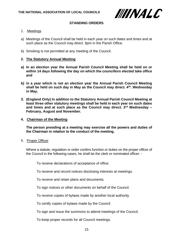

# **STANDING ORDERS**

- 1. Meetings
- a) Meetings of the Council shall be held in each year on such dates and times and at such place as the Council may direct. 8pm in the Parish Office.
- b) Smoking is not permitted at any meeting of the Council.

#### **2. The Statutory Annual Meeting**

- **a) In an election year the Annual Parish Council Meeting shall be held on or within 14 days following the day on which the councillors elected take office and**
- **b) in a year which is not an election year the Annual Parish Council Meeting shall be held on such day in May as the Council may direct. 4th. Wednesday in May.**
- **3. (England Only) In addition to the Statutory Annual Parish Council Meeting at least three other statutory meetings shall be held in each year on such dates and times and at such place as the Council may direct. 3rd Wednesday – February, August and November.**
- **4. Chairman of the Meeting**

**The person presiding at a meeting may exercise all the powers and duties of the Chairman in relation to the conduct of the meeting.**

5. Proper Officer

Where a statute, regulation or order confers function or duties on the proper officer of the Council in the following cases, he shall be the clerk or nominated officer: -

To receive declarations of acceptance of office.

To receive and record notices disclosing interests at meetings.

To receive and retain plans and documents.

To sign notices or other documents on behalf of the Council.

To receive copies of bylaws made by another local authority.

To certify copies of bylaws made by the Council.

To sign and issue the summons to attend meetings of the Council.

To keep proper records for all Council meetings.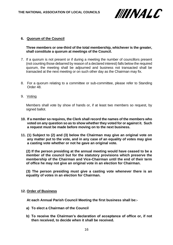

# **6. Quorum of the Council**

# **Three members or one-third of the total membership, whichever is the greater, shall constitute a quorum at meetings of the Council.**

- 7. If a quorum is not present or if during a meeting the number of councillors present (not counting those debarred by reason of a declared interest) falls below the required quorum, the meeting shall be adjourned and business not transacted shall be transacted at the next meeting or on such other day as the Chairman may fix.
- 8. For a quorum relating to a committee or sub-committee, please refer to Standing Order 48.
- 9. Voting

Members shall vote by show of hands or, if at least two members so request, by signed ballot.

- **10. If a member so requires, the Clerk shall record the names of the members who voted on any question so as to show whether they voted for or against it. Such a request must be made before moving on to the next business.**
- **11. (1) Subject to (2) and (3) below the Chairman may give an original vote on any matter put to the vote, and in any case of an equality of votes may give a casting vote whether or not he gave an original vote.**

**(2) If the person presiding at the annual meeting would have ceased to be a member of the council but for the statutory provisions which preserve the membership of the Chairman and Vice-Chairman until the end of their term of office he may not give an original vote in an election for Chairman.**

**(3) The person presiding must give a casting vote whenever there is an equality of votes in an election for Chairman.**

#### **12. Order of Business**

 **At each Annual Parish Council Meeting the first business shall be:-**

- **a) To elect a Chairman of the Council**
- **b) To receive the Chairman's declaration of acceptance of office or, if not then received, to decide when it shall be received.**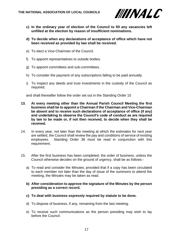

- **c) In the ordinary year of election of the Council to fill any vacancies left unfilled at the election by reason of insufficient nominations.**
- **d) To decide when any declarations of acceptance of office which have not been received as provided by law shall be received.**
- e) To elect a Vice-Chairman of the Council.
- f) To appoint representatives to outside bodies.
- g) To appoint committees and sub-committees.
- h) To consider the payment of any subscriptions falling to be paid annually.
- i) To inspect any deeds and trust investments in the custody of the Council as required;

and shall thereafter follow the order set out in the Standing Order 15

- **13. At every meeting other than the Annual Parish Council Meeting the first business shall be to appoint a Chairman if the Chairman and Vice-Chairman be absent and to receive such declarations of acceptance of office (if any) and undertaking to observe the Council's code of conduct as are required by law to be made or, if not then received, to decide when they shall be received.**
- 14. In every year, not later than the meeting at which the estimates for next year are settled, the Council shall review the pay and conditions of service of existing employees. Standing Order 38 must be read in conjunction with this requirement.
- 15. After the first business has been completed, the order of business, unless the Council otherwise decides on the ground of urgency, shall be as follows:
	- a) To read and consider the Minutes; provided that if a copy has been circulated to each member not later than the day of issue of the summons to attend the meeting, the Minutes may be taken as read.
	- **b) After consideration to approve the signature of the Minutes by the person presiding as a correct record.**
	- **c) To deal with business expressly required by statute to be done.**
	- d) To dispose of business, if any, remaining from the last meeting.
	- e) To receive such communications as the person presiding may wish to lay before the Council.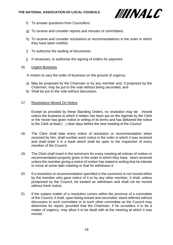

- f) To answer questions from Councillors.
- g) To receive and consider reports and minutes of committees.
- h) To receive and consider resolutions or recommendations in the order in which they have been notified.
- i) To authorise the sealing of documents.
- j) If necessary, to authorise the signing of orders for payment.

# 16. Urgent Business

A motion to vary the order of business on the ground of urgency:

- a) May be proposed by the Chairman or by any member and, if proposed by the Chairman, may be put to the vote without being seconded, and
- b) Shall be put to the vote without discussion.

# 17. Resolutions Moved On Notice

Except as provided by these Standing Orders, no resolution may be moved unless the business to which it relates has been put on the Agenda by the Clerk or the mover has given notice in writing of its terms and has delivered the notice to the Clerk at least ( ) clear days before the next meeting of the Council.

- 18. The Clerk shall date every notice of resolution or recommendation when received by him, shall number each notice in the order in which it was received and shall enter it in a book which shall be open to the inspection of every member of the Council.
- 19. The Clerk shall insert in the summons for every meeting all notices of motion or recommendation properly given in the order in which they have been received unless the member giving a notice of motion has stated in writing that he intends to move at some later meeting or that he withdraws it.
- 20. If a resolution or recommendation specified in the summons is not moved either by the member who gave notice of it or by any other member, it shall, unless postponed by the Council, be treated as withdrawn and shall not be moved without fresh notice.
- 21. If the subject matter of a resolution comes within the province of a committee of the Council, it shall, upon being moved and seconded, stand referred without discussion to such committee or to such other committee as the Council may determine for report; provided that the Chairman, if he considers it to be a matter of urgency, may allow it to be dealt with at the meeting at which it was moved.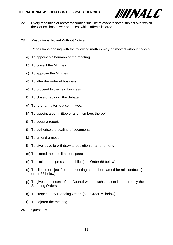

22. Every resolution or recommendation shall be relevant to some subject over which the Council has power or duties, which affects its area.

# 23. Resolutions Moved Without Notice

Resolutions dealing with the following matters may be moved without notice:-

- a) To appoint a Chairman of the meeting.
- b) To correct the Minutes.
- c) To approve the Minutes.
- d) To alter the order of business.
- e) To proceed to the next business.
- f) To close or adjourn the debate.
- g) To refer a matter to a committee.
- h) To appoint a committee or any members thereof.
- i) To adopt a report.
- j) To authorise the sealing of documents.
- k) To amend a motion.
- l) To give leave to withdraw a resolution or amendment.
- m) To extend the time limit for speeches.
- n) To exclude the press and public. (see Order 68 below)
- o) To silence or eject from the meeting a member named for misconduct. (see order 33 below)
- p) To give the consent of the Council where such consent is required by these Standing Orders.
- q) To suspend any Standing Order. (see Order 79 below)
- r) To adjourn the meeting.
- 24. Questions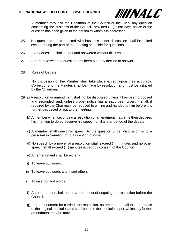

A member may ask the Chairman of the Council or the Clerk any question concerning the business of the Council, provided ( ) clear days notice of the question has been given to the person to whom it is addressed.

- 25. No questions not connected with business under discussion shall be asked except during the part of the meeting set aside for questions.
- 26. Every question shall be put and answered without discussion.
- 27. A person to whom a question has been put may decline to answer.
- 28. Rules of Debate

No discussion of the Minutes shall take place except upon their accuracy. Corrections to the Minutes shall be made by resolution and must be initialled by the Chairman.

- 29. a) A resolution or amendment shall not be discussed unless it has been proposed and seconded, and, unless proper notice has already been given, it shall, if required by the Chairman, be reduced to writing and handed to him before it is further discussed or put to the meeting.
	- b) A member when seconding a resolution or amendment may, if he then declares his intention to do so, reserve his speech until a later period of the debate.
	- c) A member shall direct his speech to the question under discussion or to a personal explanation or to a question of order.
	- d) No speech by a mover of a resolution shall exceed ( ) minutes and no other speech shall exceed ( ) minutes except by consent of the Council.
	- e) An amendment shall be either:-
	- i) To leave out words.
	- ii) To leave out words and insert others
	- iii) To insert or add words.
	- f) An amendment shall not have the effect of negating the resolution before the Council.
	- g) If an amendment be carried, the resolution, as amended, shall take the place of the original resolution and shall become the resolution upon which any further amendment may be moved.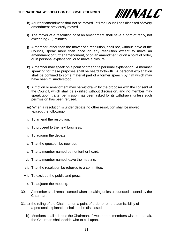

- h) A further amendment shall not be moved until the Council has disposed of every amendment previously moved.
- i) The mover of a resolution or of an amendment shall have a right of reply, not exceeding ( ) minutes.
- j) A member, other than the mover of a resolution, shall not, without leave of the Council, speak more than once on any resolution except to move an amendment or further amendment, or on an amendment, or on a point of order, or in personal explanation, or to move a closure.
- k) A member may speak on a point of order or a personal explanation. A member speaking for these purposes shall be heard forthwith. A personal explanation shall be confined to some material part of a former speech by him which may have been misunderstood.
- l) A motion or amendment may be withdrawn by the proposer with the consent of the Council, which shall be signified without discussion, and no member may speak upon it after permission has been asked for its withdrawal unless such permission has been refused.
- m) When a resolution is under debate no other resolution shall be moved except the following:-
- i. To amend the resolution.
- ii. To proceed to the next business.
- iii. To adjourn the debate.
- iv. That the question be now put.
- v. That a member named be not further heard.
- vi. That a member named leave the meeting.
- vii. That the resolution be referred to a committee.
- viii. To exclude the public and press.
- ix. To adjourn the meeting.
- 30. A member shall remain seated when speaking unless requested to stand by the Chairman.
- 31. a) the ruling of the Chairman on a point of order or on the admissibility of a personal explanation shall not be discussed.
	- b) Members shall address the Chairman. If two or more members wish to speak, the Chairman shall decide who to call upon.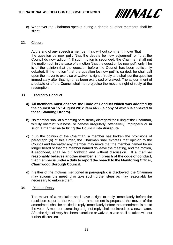

c) Whenever the Chairman speaks during a debate all other members shall be silent.

#### 32. Closure

At the end of any speech a member may, without comment, move "that the question be now put", "that the debate be now adjourned" or "that the Council do now adjourn". If such motion is seconded, the Chairman shall put the motion but, in the case of a motion "that the question be now put", only if he is of the opinion that the question before the Council has been sufficiently debated. If the motion "that the question be now put" is carried, he shall call upon the mover to exercise or waive his right of reply and shall put the question immediately after that right has been exercised or waived. The adjournment of a debate or of the Council shall not prejudice the mover's right of reply at the resumption.

#### 33. Disorderly Conduct

# **a) All members must observe the Code of Conduct which was adopted by the council on 15th August 2012 item 4465 (a copy of which is annexed to these Standing Orders).**

- b) No member shall at a meeting persistently disregard the ruling of the Chairman, wilfully obstruct business, or behave irregularly, offensively, improperly or **in such a manner as to bring the Council into disrepute.**
- **c)** If, in the opinion of the Chairman, a member has broken the provisions of paragraph (b) of this Order, the Chairman shall express that opinion to the Council and thereafter any member may move that the member named be no longer heard or that the member named do leave the meeting, and the motion, if seconded, shall be put forthwith and without discussion. **If a member reasonably believes another member is in breach of the code of conduct, that member is under a duty to report the breach to the Monitoring Officer, Charnwood Borough Council.**
- d) If either of the motions mentioned in paragraph c is disobeyed, the Chairman may adjourn the meeting or take such further steps as may reasonably be necessary to enforce them.
- 34. Right of Reply

The mover of a resolution shall have a right to reply immediately before the resolution is put to the vote. If an amendment is proposed the mover of the amendment shall be entitled to reply immediately before the amendment is put to the vote. A member exercising a right of reply shall not introduce a new matter. After the right of reply has been exercised or waived, a vote shall be taken without further discussion.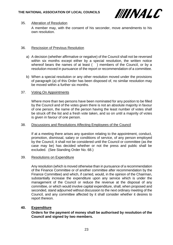

# 35. Alteration of Resolution

A member may, with the consent of his seconder, move amendments to his own resolution.

# 36. Rescission of Previous Resolution

- a) A decision (whether affirmative or negative) of the Council shall not be reversed within six months except either by a special resolution, the written notice whereof bears the names of at least () members of the Council, or by a resolution moved in pursuance of the report or recommendation of a committee.
- b) When a special resolution or any other resolution moved under the provisions of paragraph (a) of this Order has been disposed of, no similar resolution may be moved within a further six months.

# 37. Voting On Appointments

Where more than two persons have been nominated for any position to be filled by the Council and of the votes given there is not an absolute majority in favour of one person, the name of the person having the least number of votes shall be struck off the list and a fresh vote taken, and so on until a majority of votes is given in favour of one person.

# 38. Discussions and Resolutions Affecting Employees of the Council

If at a meeting there arises any question relating to the appointment, conduct, promotion, dismissal, salary or conditions of service, of any person employed by the Council, it shall not be considered until the Council or committee (as the case may be) has decided whether or not the press and public shall be excluded. (See Standing Order No. 68.)

# 39. Resolutions on Expenditure

Any resolution (which is moved otherwise than in pursuance of a recommendation of the Finance Committee or of another committee after recommendation by the Finance Committee) and which, if carried, would, in the opinion of the Chairman, substantially increase the expenditure upon any service which is under the management of the Council or reduce the revenue at the disposal of any committee, or which would involve capital expenditure, shall, when proposed and seconded, stand adjourned without discussion to the next ordinary meeting of the Council, and any committee affected by it shall consider whether it desires to report thereon.

# **40. Expenditure**

**Orders for the payment of money shall be authorised by resolution of the Council and signed by two members.**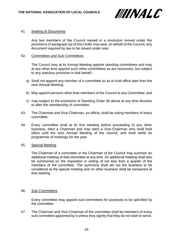

#### 41. Sealing of Documents

Any two members of the Council named in a resolution moved under the provisions of paragraph (a) of this Order may seal, on behalf of the Council, any document required by law to be issued under seal.

#### 42. Committees and Sub Committees

The Council may at its Annual Meeting appoint standing committees and may at any other time appoint such other committees as are necessary, but subject to any statutory provision in that behalf:-

- a) Shall not appoint any member of a committee so as to hold office later than the next Annual Meeting.
- b) May appoint persons other than members of the Council to any Committee; and
- c) may subject to the provisions of Standing Order 36 above at any time dissolve or alter the membership of committee.
- 43. The Chairman and Vice-Chairman, ex-officio, shall be voting members of every committee.
- 44. Every committee shall at its first meeting before proceeding to any other business, elect a Chairman and may elect a Vice-Chairman who shall hold office until the next Annual Meeting of the council, and shall settle its programme of meetings for the year.

#### 45. Special Meeting

The Chairman of a committee or the Chairman of the Council may summon an additional meeting of that committee at any time. An additional meeting shall also be summoned on the requisition in writing of not less than a quarter of the members of the committee. The summons shall set out the business to be considered at the special meeting and no other business shall be transacted at that meeting.

#### 46. Sub-Committees

Every committee may appoint sub-committees for purposes to be specified by the committee.

47. The Chairman and Vice-Chairman of the committee shall be members of every sub-committee appointed by it unless they signify that they do not wish to serve.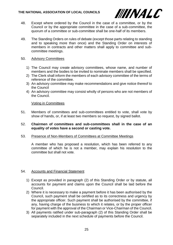

- 48. Except where ordered by the Council in the case of a committee, or by the Council or by the appropriate committee in the case of a sub-committee, the quorum of a committee or sub-committee shall be one-half of its members.
- 49. The Standing Orders on rules of debate (except those parts relating to standing and to speaking more than once) and the Standing Order on interests of members in contracts and other matters shall apply to committee and subcommittee meetings.

# 50. Advisory Committees

- 1) The Council may create advisory committees, whose name, and number of members and the bodies to be invited to nominate members shall be specified.
- 2) The Clerk shall inform the members of each advisory committee of the terms of reference of the committee.
- 3) An advisory committee may make recommendations and give notice thereof to the Council
- 4) An advisory committee may consist wholly of persons who are not members of the Council.

# Voting in Committees

51. Members of committees and sub-committees entitled to vote, shall vote by show of hands, or, if at least two members so request, by signed ballot.

#### 52. **Chairmen of committees and sub-committees shall in the case of an equality of votes have a second or casting vote.**

# 53. Presence of Non-Members of Committees at Committee Meetings

A member who has proposed a resolution, which has been referred to any committee of which he is not a member, may explain his resolution to the committee but shall not vote.

# 54. Accounts and Financial Statement

- 1) Except as provided in paragraph (2) of this Standing Order or by statute, all accounts for payment and claims upon the Council shall be laid before the Council.
- 2) Where it is necessary to make a payment before it has been authorised by the Council, such payment shall be certified as to its correctness and urgency by the appropriate officer. Such payment shall be authorised by the committee, if any, having charge of the business to which it relates, or by the proper officer for payment with the approval of the Chairman or Vice-Chairman of the Council.
- 3) All payments ratified under sub-paragraph (2) of this Standing Order shall be separately included in the next schedule of payments before the Council.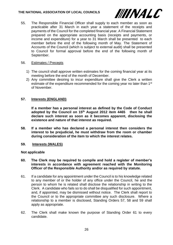#### **THE NATIONAL ASSOCIATION OF LOCAL COUNCILS**



55. The Responsible Financial Officer shall supply to each member as soon as practicable after 31 March in each year a statement of the receipts and payments of the Council for the completed financial year. A Financial Statement prepared on the appropriate accounting basis (receipts and payments, or income and expenditure) for a year to 31 March shall be presented to each member before the end of the following month of May. The Statement of Accounts of the Council (which is subject to external audit) shall be presented to Council for formal approval before the end of the following month of September.

# 56. Estimates / Precepts

- 1) The council shall approve written estimates for the coming financial year at its meeting before the end of the month of December.
- 2) Any committee desiring to incur expenditure shall give the Clerk a written estimate of the expenditure recommended for the coming year no later than 1<sup>st</sup> of November.

# **57. Interests (ENGLAND)**

**If a member has a personal interest as defined by the Code of Conduct adopted by the Council on 15th August 2012 item 4465 then he shall declare such interest as soon as it becomes apparent, disclosing the existence and nature of that interest as required.**

**58. If a member who has declared a personal interest then considers the interest to be prejudicial, he must withdraw from the room or chamber during consideration of the item to which the interest relates.**

# **59. Interests (WALES)**

#### **Not applicable**

- **60. The Clerk may be required to compile and hold a register of member's interests in accordance with agreement reached with the Monitoring Officer of the Responsible Authority and/or as required by statute.**
- 61. If a candidate for any appointment under the Council is to his knowledge related to any member of or the holder of any office under the Council, he and the person to whom he is related shall disclose the relationship in writing to the Clerk. A candidate who fails so to do shall be disqualified for such appointment, and, if appointed, may be dismissed without notice. The Clerk shall report to the Council or to the appropriate committee any such disclosure. Where a relationship to a member is disclosed, Standing Orders 57, 58 and 59 shall apply as appropriate.
- 62. The Clerk shall make known the purpose of Standing Order 61 to every candidate.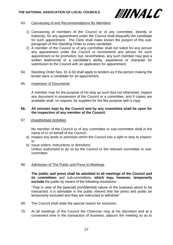

#### 63. Canvassing of and Recommendations By Members

- 1) Canvassing of members of the Council or of any committee, directly or indirectly, for any appointment under the Council shall disqualify the candidate for such appointment. The Clerk shall make known the purport of this subparagraph of this Standing Order to every candidate.
- 2) A member of the Council or of any committee shall not solicit for any person any appointment under the Council or recommend any person for such appointment or for promotion; but, nevertheless, any such member may give a written testimonial of a candidate's ability, experience or character for submission to the Council with an application for appointment.
- 64. Standing Order Nos. 61 & 63 shall apply to tenders as if the person making the tender were a candidate for an appointment.

#### 65. Inspection of Documents

A member may for the purpose of his duty as such (but not otherwise), inspect any document in possession of the Council or a committee, and if copies are available shall, on request, be supplied for the like purpose with a copy.

#### **66. All minutes kept by the Council and by any committee shall be open for the inspection of any member of the Council.**

67. Unauthorised Activities

No member of the Council or of any committee or sub-committee shall in the name of or on behalf of the Council:-

- a) Inspect any lands or premises which the Council has a right or duty to inspect; or
- b) Issue orders, instructions or directions. Unless authorised to do so by the Council or the relevant committee or subcommittee.

# 68. Admission of The Public and Press to Meetings

**The public and press shall be admitted to all meetings of the Council and its committees** and sub-committees, **which may, however, temporarily exclude** the public by means of the following resolutions: -

"That in view of the [special] [confidential] nature of the business about to be transacted, it is advisable in the public interest that the press and public be temporarily excluded and they are instructed to withdraw"

- 69. The Council shall state the special reason for exclusion.
- 70. At all meetings of the Council the Chairman may at his discretion and at a convenient time in the transaction of business, adjourn the meeting so as to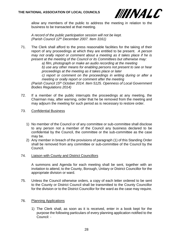

allow any members of the public to address the meeting in relation to the business to be transacted at that meeting.

*A record of the public participation session will not be kept. (Parish Council 12th December 2007. Item 3161)*

71. The Clerk shall afford to the press reasonable facilities for the taking of their report of any proceedings at which they are entitled to be present. *A person may not orally report or comment about a meeting as it takes place if he is present at the meeting of the Council or its Committees but otherwise may:*

*a) film, photograph or make an audio recording at the meeting*

*b) use any other means for enabling persons not present to see or hear proceedings at the meeting as it takes place or later*

*c) report or comment on the proceedings in writing during or after a meeting or orally report or comment after the meeting*

*(Parish Council 15th October 2014. Item 5125. Openness of Local Government Bodies Regulations 2014)*

- 72. If a member of the public interrupts the proceedings at any meeting, the Chairman may, after warning, order that he be removed from the meeting and may adjourn the meeting for such period as is necessary to restore order.
- 73. Confidential Business
	- 1) No member of the Council or of any committee or sub-committee shall disclose to any person not a member of the Council any business declared to be confidential by the Council, the committee or the sub-committee as the case may be.
	- 2) Any member in breach of the provisions of paragraph (1) of this Standing Order shall be removed from any committee or sub-committee of the Council by the Council.
- 74. Liaison with County and District Councillors

A summons and Agenda for each meeting shall be sent, together with an invitation to attend, to the County, Borough, Unitary or District Councillor for the appropriate division or ward.

- 75. Unless the Council otherwise orders, a copy of each letter ordered to be sent to the County or District Council shall be transmitted to the County Councillor for the division or to the District Councillor for the ward as the case may require.
- 76. Planning Applications
	- 1) The Clerk shall, as soon as it is received, enter in a book kept for the purpose the following particulars of every planning application notified to the Council: -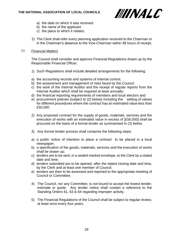

- a) the date on which it was received
- b) the name of the applicant
- c) the place to which it relates;
- 2) The Clerk shall refer every planning application received to the Chairman or in the Chairman's absence to the Vice-Chairman within 48 hours of receipt.

# 77. Financial Matters

The Council shall consider and approve Financial Regulations drawn up by the Responsible Financial Officer.

- 1) Such Regulations shall include detailed arrangements for the following:
- a) the accounting records and systems of internal control;
- b) the assessment and management of risks faced by the Council;
- c) the work of the Internal Auditor and the receipt of regular reports from the Internal Auditor which shall be required at least annually;
- d) the financial reporting requirements of members and local electors and
- e) procurement policies (subject to (2) below) including the setting of values for different procedures where the contract has an estimated value less than £50,000.
- 2) Any proposed contract for the supply of goods, materials, services and the execution of works with an estimated value in excess of [£50,000] shall be procured on the basis of a formal tender as summarised in (3) below.
- 3) Any formal tender process shall comprise the following steps:
- a) a public notice of intention to place a contract to be placed in a local newspaper;
- b) a specification of the goods, materials, services and the execution of works shall be drawn up;
- c) tenders are to be sent, in a sealed marked envelope, to the Clerk by a stated date and time;
- d) tenders submitted are to be opened, after the stated closing date and time, by the Clerk and at least one member of Council;
- e) tenders are then to be assessed and reported to the appropriate meeting of Council or Committee.
- 4) The Council, nor any Committee, is not bound to accept the lowest tender, estimate or quote. Any tender notice shall contain a reference to the Standing Orders 61, 63 & 64 regarding improper activity.
- 5) The Financial Regulations of the Council shall be subject to regular review, at least once every four years.